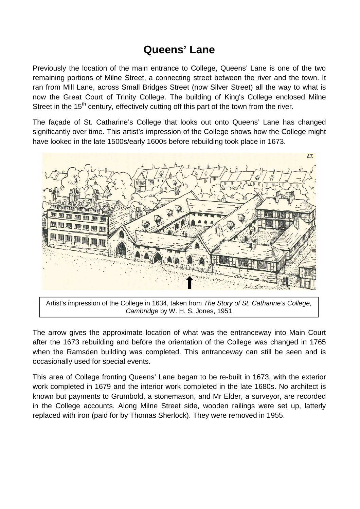## **Queens' Lane**

Previously the location of the main entrance to College, Queens' Lane is one of the two remaining portions of Milne Street, a connecting street between the river and the town. It ran from Mill Lane, across Small Bridges Street (now Silver Street) all the way to what is now the Great Court of Trinity College. The building of King's College enclosed Milne Street in the 15<sup>th</sup> century, effectively cutting off this part of the town from the river.

The façade of St. Catharine's College that looks out onto Queens' Lane has changed significantly over time. This artist's impression of the College shows how the College might have looked in the late 1500s/early 1600s before rebuilding took place in 1673.



Artist's impression of the College in 1634, taken from The Story of St. Catharine's College. Cambridge by W. H. S. Jones, 1951

The arrow gives the approximate location of what was the entranceway into Main Court after the 1673 rebuilding and before the orientation of the College was changed in 1765 when the Ramsden building was completed. This entranceway can still be seen and is occasionally used for special events.

This area of College fronting Queens' Lane began to be re-built in 1673, with the exterior work completed in 1679 and the interior work completed in the late 1680s. No architect is known but payments to Grumbold, a stonemason, and Mr Elder, a surveyor, are recorded in the College accounts. Along Milne Street side, wooden railings were set up, latterly replaced with iron (paid for by Thomas Sherlock). They were removed in 1955.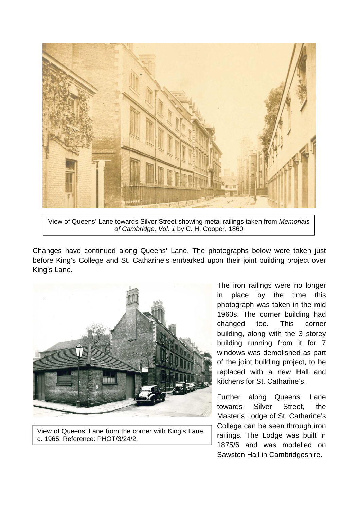

View of Queens' Lane towards Silver Street showing metal railings taken from Memorials of Cambridge, Vol. 1 by C. H. Cooper, 1860

Changes have continued along Queens' Lane. The photographs below were taken just before King's College and St. Catharine's embarked upon their joint building project over King's Lane.



View of Queens' Lane from the corner with King's Lane, c. 1965. Reference: PHOT/3/24/2.

The iron railings were no longer in place by the time this photograph was taken in the mid 1960s. The corner building had changed too. This corner building, along with the 3 storey building running from it for 7 windows was demolished as part of the joint building project, to be replaced with a new Hall and kitchens for St. Catharine's.

Further along Queens' Lane towards Silver Street, the Master's Lodge of St. Catharine's College can be seen through iron railings. The Lodge was built in 1875/6 and was modelled on Sawston Hall in Cambridgeshire.